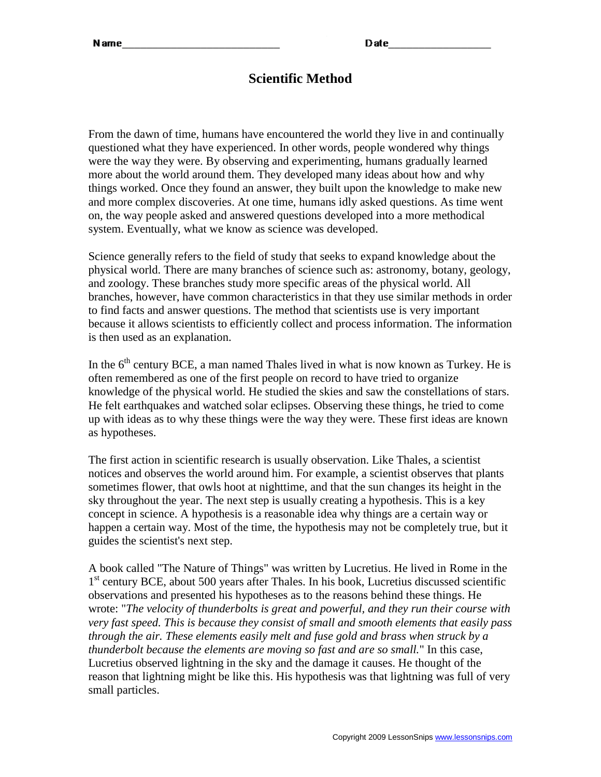### **Scientific Method**

From the dawn of time, humans have encountered the world they live in and continually questioned what they have experienced. In other words, people wondered why things were the way they were. By observing and experimenting, humans gradually learned more about the world around them. They developed many ideas about how and why things worked. Once they found an answer, they built upon the knowledge to make new and more complex discoveries. At one time, humans idly asked questions. As time went on, the way people asked and answered questions developed into a more methodical system. Eventually, what we know as science was developed.

Science generally refers to the field of study that seeks to expand knowledge about the physical world. There are many branches of science such as: astronomy, botany, geology, and zoology. These branches study more specific areas of the physical world. All branches, however, have common characteristics in that they use similar methods in order to find facts and answer questions. The method that scientists use is very important because it allows scientists to efficiently collect and process information. The information is then used as an explanation.

In the  $6<sup>th</sup>$  century BCE, a man named Thales lived in what is now known as Turkey. He is often remembered as one of the first people on record to have tried to organize knowledge of the physical world. He studied the skies and saw the constellations of stars. He felt earthquakes and watched solar eclipses. Observing these things, he tried to come up with ideas as to why these things were the way they were. These first ideas are known as hypotheses.

The first action in scientific research is usually observation. Like Thales, a scientist notices and observes the world around him. For example, a scientist observes that plants sometimes flower, that owls hoot at nighttime, and that the sun changes its height in the sky throughout the year. The next step is usually creating a hypothesis. This is a key concept in science. A hypothesis is a reasonable idea why things are a certain way or happen a certain way. Most of the time, the hypothesis may not be completely true, but it guides the scientist's next step.

A book called "The Nature of Things" was written by Lucretius. He lived in Rome in the 1<sup>st</sup> century BCE, about 500 years after Thales. In his book, Lucretius discussed scientific observations and presented his hypotheses as to the reasons behind these things. He wrote: "*The velocity of thunderbolts is great and powerful, and they run their course with very fast speed. This is because they consist of small and smooth elements that easily pass through the air. These elements easily melt and fuse gold and brass when struck by a thunderbolt because the elements are moving so fast and are so small.*" In this case, Lucretius observed lightning in the sky and the damage it causes. He thought of the reason that lightning might be like this. His hypothesis was that lightning was full of very small particles.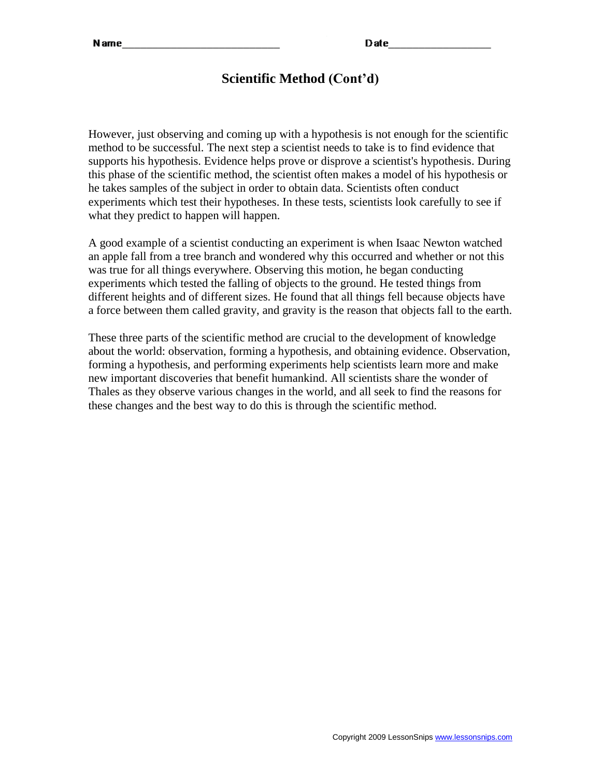# **Scientific Method (Cont'd)**

However, just observing and coming up with a hypothesis is not enough for the scientific method to be successful. The next step a scientist needs to take is to find evidence that supports his hypothesis. Evidence helps prove or disprove a scientist's hypothesis. During this phase of the scientific method, the scientist often makes a model of his hypothesis or he takes samples of the subject in order to obtain data. Scientists often conduct experiments which test their hypotheses. In these tests, scientists look carefully to see if what they predict to happen will happen.

A good example of a scientist conducting an experiment is when Isaac Newton watched an apple fall from a tree branch and wondered why this occurred and whether or not this was true for all things everywhere. Observing this motion, he began conducting experiments which tested the falling of objects to the ground. He tested things from different heights and of different sizes. He found that all things fell because objects have a force between them called gravity, and gravity is the reason that objects fall to the earth.

These three parts of the scientific method are crucial to the development of knowledge about the world: observation, forming a hypothesis, and obtaining evidence. Observation, forming a hypothesis, and performing experiments help scientists learn more and make new important discoveries that benefit humankind. All scientists share the wonder of Thales as they observe various changes in the world, and all seek to find the reasons for these changes and the best way to do this is through the scientific method.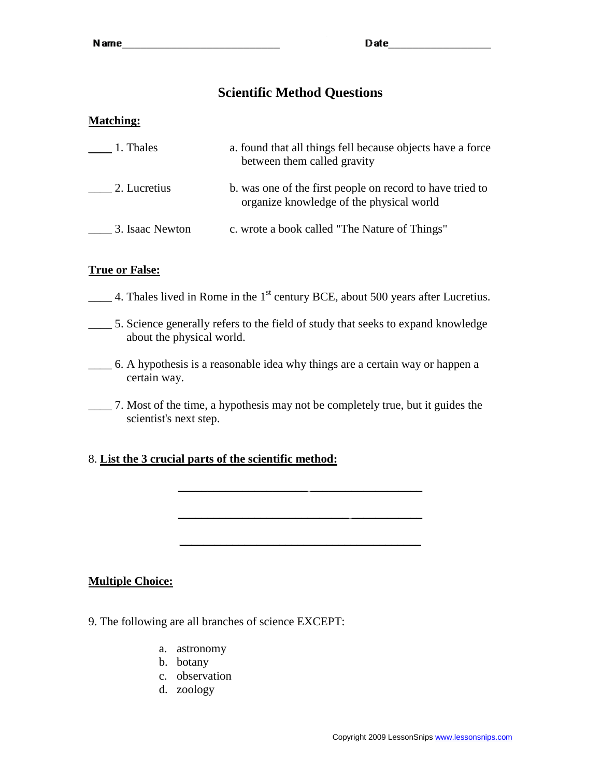## **Scientific Method Questions**

#### **Matching:**

| 1. Thales       | a. found that all things fell because objects have a force<br>between them called gravity             |
|-----------------|-------------------------------------------------------------------------------------------------------|
| 2. Lucretius    | b. was one of the first people on record to have tried to<br>organize knowledge of the physical world |
| 3. Isaac Newton | c. wrote a book called "The Nature of Things"                                                         |

### **True or False:**

- $\frac{1}{2}$  4. Thales lived in Rome in the 1<sup>st</sup> century BCE, about 500 years after Lucretius.
- \_\_\_\_ 5. Science generally refers to the field of study that seeks to expand knowledge about the physical world.
- \_\_\_\_ 6. A hypothesis is a reasonable idea why things are a certain way or happen a certain way.
- \_\_\_\_ 7. Most of the time, a hypothesis may not be completely true, but it guides the scientist's next step.

\_\_\_\_\_\_\_\_\_\_\_\_\_\_\_\_\_\_\_\_\_\_ \_\_\_\_\_\_\_\_\_\_\_\_\_\_\_\_\_\_\_

\_\_\_\_\_\_\_\_\_\_\_\_\_\_\_\_\_\_\_\_\_\_\_\_\_\_\_\_\_ \_\_\_\_\_\_\_\_\_\_\_\_

### 8. **List the 3 crucial parts of the scientific method:**

#### **Multiple Choice:**

- 9. The following are all branches of science EXCEPT:
	- a. astronomy
	- b. botany
	- c. observation
	- d. zoology